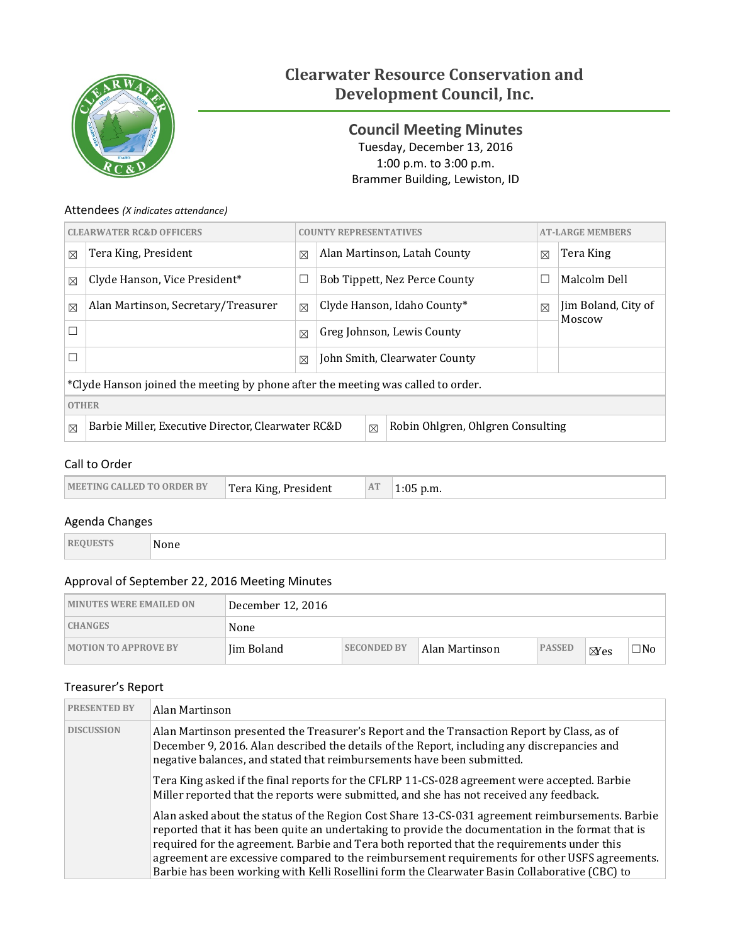

# **Clearwater Resource Conservation and Development Council, Inc.**

<span id="page-0-0"></span>**Council Meeting Minutes** Tuesday, December 13, 2016 1:00 p.m. to 3:00 p.m. Brammer Building, Lewiston, ID

### Attendees *(X indicates attendance)*

| <b>CLEARWATER RC&amp;D OFFICERS</b>                                                                                   |                                     |             | <b>COUNTY REPRESENTATIVES</b> |                                      |             | <b>AT-LARGE MEMBERS</b>       |  |
|-----------------------------------------------------------------------------------------------------------------------|-------------------------------------|-------------|-------------------------------|--------------------------------------|-------------|-------------------------------|--|
| $\boxtimes$                                                                                                           | Tera King, President                | $\boxtimes$ |                               | Alan Martinson, Latah County         | $\boxtimes$ | Tera King                     |  |
| $\boxtimes$                                                                                                           | Clyde Hanson, Vice President*       | $\Box$      |                               | <b>Bob Tippett, Nez Perce County</b> | ⊏           | Malcolm Dell                  |  |
| $\boxtimes$                                                                                                           | Alan Martinson, Secretary/Treasurer | $\boxtimes$ | Clyde Hanson, Idaho County*   |                                      | $\boxtimes$ | Jim Boland, City of<br>Moscow |  |
| Г                                                                                                                     |                                     | $\boxtimes$ | Greg Johnson, Lewis County    |                                      |             |                               |  |
| Г                                                                                                                     |                                     | $\boxtimes$ | John Smith, Clearwater County |                                      |             |                               |  |
| *Clyde Hanson joined the meeting by phone after the meeting was called to order.                                      |                                     |             |                               |                                      |             |                               |  |
|                                                                                                                       | <b>OTHER</b>                        |             |                               |                                      |             |                               |  |
| Robin Ohlgren, Ohlgren Consulting<br>Barbie Miller, Executive Director, Clearwater RC&D<br>$\boxtimes$<br>$\boxtimes$ |                                     |             |                               |                                      |             |                               |  |

### Call to Order

| $\sim$ | <b>IMEETING CALLED TO ORDER BY</b> | Tera King, President | AT | p.m. |
|--------|------------------------------------|----------------------|----|------|
|--------|------------------------------------|----------------------|----|------|

### Agenda Changes

| N |
|---|
|   |

# Approval of September 22, 2016 Meeting Minutes

| <b>MINUTES WERE EMAILED ON</b> | December 12, 2016 |                    |                |               |                |           |
|--------------------------------|-------------------|--------------------|----------------|---------------|----------------|-----------|
| <b>CHANGES</b>                 | None              |                    |                |               |                |           |
| <b>MOTION TO APPROVE BY</b>    | Jim Boland        | <b>SECONDED BY</b> | Alan Martinson | <b>PASSED</b> | $\boxtimes$ es | $\Box$ No |

### Treasurer's Report

| <b>PRESENTED BY</b> | Alan Martinson                                                                                                                                                                                                                                                                                                                                                                                                                                                                                       |
|---------------------|------------------------------------------------------------------------------------------------------------------------------------------------------------------------------------------------------------------------------------------------------------------------------------------------------------------------------------------------------------------------------------------------------------------------------------------------------------------------------------------------------|
| <b>DISCUSSION</b>   | Alan Martinson presented the Treasurer's Report and the Transaction Report by Class, as of<br>December 9, 2016. Alan described the details of the Report, including any discrepancies and<br>negative balances, and stated that reimbursements have been submitted.                                                                                                                                                                                                                                  |
|                     | Tera King asked if the final reports for the CFLRP 11-CS-028 agreement were accepted. Barbie<br>Miller reported that the reports were submitted, and she has not received any feedback.                                                                                                                                                                                                                                                                                                              |
|                     | Alan asked about the status of the Region Cost Share 13-CS-031 agreement reimbursements. Barbie<br>reported that it has been quite an undertaking to provide the documentation in the format that is<br>required for the agreement. Barbie and Tera both reported that the requirements under this<br>agreement are excessive compared to the reimbursement requirements for other USFS agreements.<br>Barbie has been working with Kelli Rosellini form the Clearwater Basin Collaborative (CBC) to |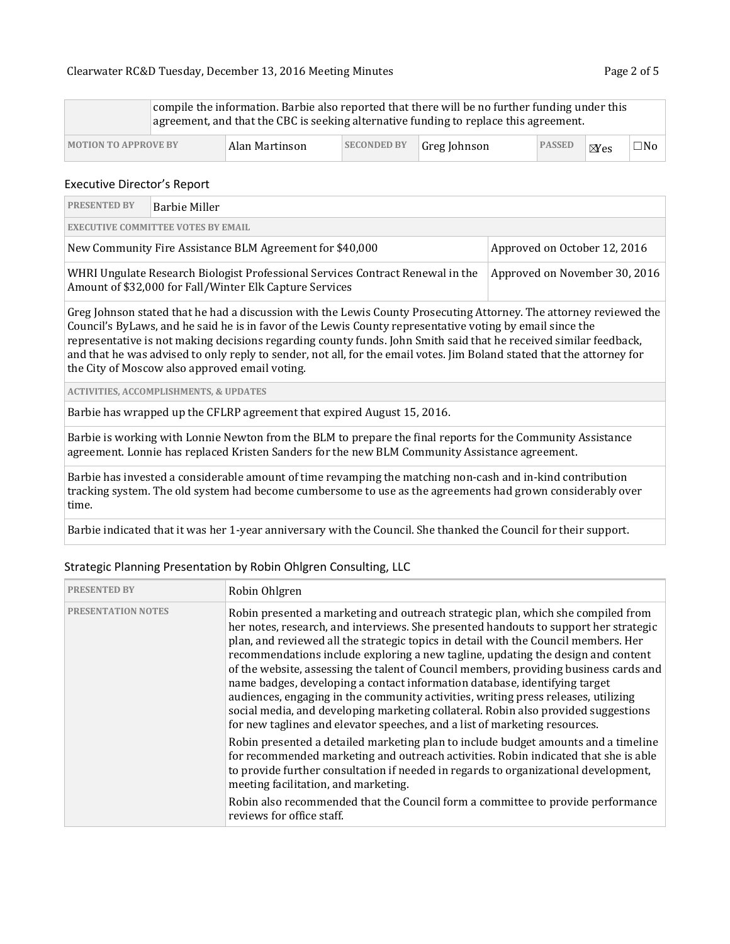|                             |  |                |                    | compile the information. Barbie also reported that there will be no further funding under this<br>agreement, and that the CBC is seeking alternative funding to replace this agreement. |               |                |           |
|-----------------------------|--|----------------|--------------------|-----------------------------------------------------------------------------------------------------------------------------------------------------------------------------------------|---------------|----------------|-----------|
| <b>MOTION TO APPROVE BY</b> |  | Alan Martinson | <b>SECONDED BY</b> | Greg Johnson                                                                                                                                                                            | <b>PASSED</b> | $\boxtimes$ es | $\Box$ No |

#### Executive Director's Report

| <b>PRESENTED BY</b>                                                                                                                                                                                                                                                                                                                                                                                                                                                                                                              | <b>Barbie Miller</b>                                                    |  |  |  |  |  |  |
|----------------------------------------------------------------------------------------------------------------------------------------------------------------------------------------------------------------------------------------------------------------------------------------------------------------------------------------------------------------------------------------------------------------------------------------------------------------------------------------------------------------------------------|-------------------------------------------------------------------------|--|--|--|--|--|--|
|                                                                                                                                                                                                                                                                                                                                                                                                                                                                                                                                  | <b>EXECUTIVE COMMITTEE VOTES BY EMAIL</b>                               |  |  |  |  |  |  |
| New Community Fire Assistance BLM Agreement for \$40,000<br>Approved on October 12, 2016                                                                                                                                                                                                                                                                                                                                                                                                                                         |                                                                         |  |  |  |  |  |  |
| WHRI Ungulate Research Biologist Professional Services Contract Renewal in the<br>Approved on November 30, 2016<br>Amount of \$32,000 for Fall/Winter Elk Capture Services                                                                                                                                                                                                                                                                                                                                                       |                                                                         |  |  |  |  |  |  |
| Greg Johnson stated that he had a discussion with the Lewis County Prosecuting Attorney. The attorney reviewed the<br>Council's ByLaws, and he said he is in favor of the Lewis County representative voting by email since the<br>representative is not making decisions regarding county funds. John Smith said that he received similar feedback,<br>and that he was advised to only reply to sender, not all, for the email votes. Jim Boland stated that the attorney for<br>the City of Moscow also approved email voting. |                                                                         |  |  |  |  |  |  |
|                                                                                                                                                                                                                                                                                                                                                                                                                                                                                                                                  | <b>ACTIVITIES, ACCOMPLISHMENTS, &amp; UPDATES</b>                       |  |  |  |  |  |  |
|                                                                                                                                                                                                                                                                                                                                                                                                                                                                                                                                  | Barbie has wrapped up the CFLRP agreement that expired August 15, 2016. |  |  |  |  |  |  |

Barbie is working with Lonnie Newton from the BLM to prepare the final reports for the Community Assistance agreement. Lonnie has replaced Kristen Sanders for the new BLM Community Assistance agreement.

Barbie has invested a considerable amount of time revamping the matching non-cash and in-kind contribution tracking system. The old system had become cumbersome to use as the agreements had grown considerably over time.

Barbie indicated that it was her 1-year anniversary with the Council. She thanked the Council for their support.

| <b>PRESENTED BY</b>       | Robin Ohlgren                                                                                                                                                                                                                                                                                                                                                                                                                                                                                                                                                                                                                                                                                                                                                                        |
|---------------------------|--------------------------------------------------------------------------------------------------------------------------------------------------------------------------------------------------------------------------------------------------------------------------------------------------------------------------------------------------------------------------------------------------------------------------------------------------------------------------------------------------------------------------------------------------------------------------------------------------------------------------------------------------------------------------------------------------------------------------------------------------------------------------------------|
| <b>PRESENTATION NOTES</b> | Robin presented a marketing and outreach strategic plan, which she compiled from<br>her notes, research, and interviews. She presented handouts to support her strategic<br>plan, and reviewed all the strategic topics in detail with the Council members. Her<br>recommendations include exploring a new tagline, updating the design and content<br>of the website, assessing the talent of Council members, providing business cards and<br>name badges, developing a contact information database, identifying target<br>audiences, engaging in the community activities, writing press releases, utilizing<br>social media, and developing marketing collateral. Robin also provided suggestions<br>for new taglines and elevator speeches, and a list of marketing resources. |
|                           | Robin presented a detailed marketing plan to include budget amounts and a timeline<br>for recommended marketing and outreach activities. Robin indicated that she is able<br>to provide further consultation if needed in regards to organizational development,<br>meeting facilitation, and marketing.<br>Robin also recommended that the Council form a committee to provide performance<br>reviews for office staff.                                                                                                                                                                                                                                                                                                                                                             |

## Strategic Planning Presentation by Robin Ohlgren Consulting, LLC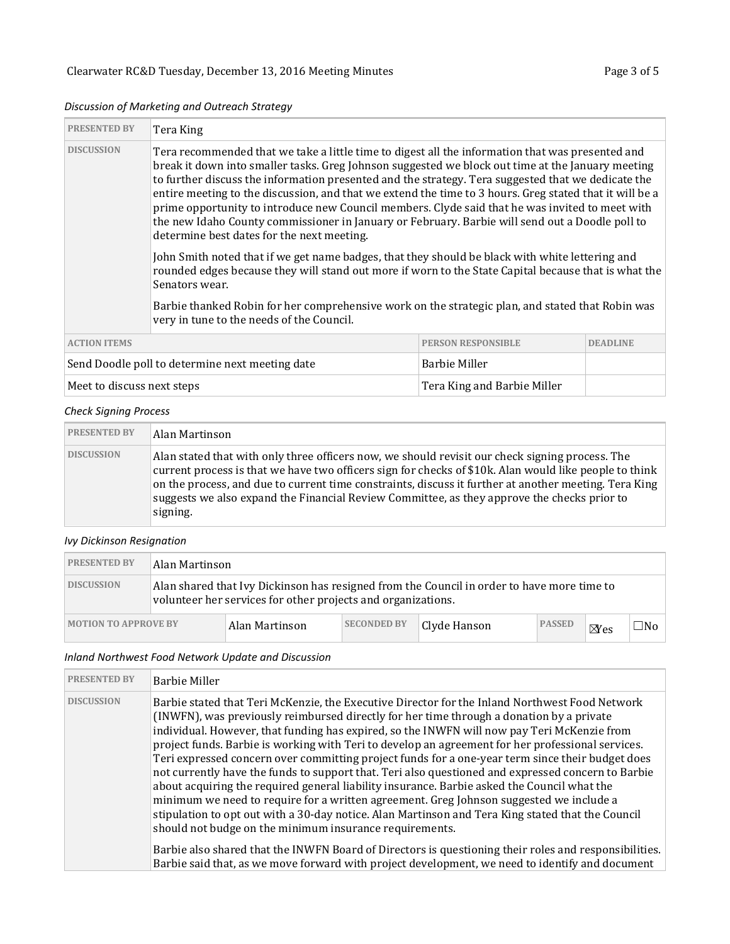#### *Discussion of Marketing and Outreach Strategy*

| <b>PRESENTED BY</b>                       | Tera King                                                                                                                                                                                                                                                                                                                                                                                                                                                                                                                                                                                                                                                                  |                           |                 |  |  |
|-------------------------------------------|----------------------------------------------------------------------------------------------------------------------------------------------------------------------------------------------------------------------------------------------------------------------------------------------------------------------------------------------------------------------------------------------------------------------------------------------------------------------------------------------------------------------------------------------------------------------------------------------------------------------------------------------------------------------------|---------------------------|-----------------|--|--|
| <b>DISCUSSION</b>                         | Tera recommended that we take a little time to digest all the information that was presented and<br>break it down into smaller tasks. Greg Johnson suggested we block out time at the January meeting<br>to further discuss the information presented and the strategy. Tera suggested that we dedicate the<br>entire meeting to the discussion, and that we extend the time to 3 hours. Greg stated that it will be a<br>prime opportunity to introduce new Council members. Clyde said that he was invited to meet with<br>the new Idaho County commissioner in January or February. Barbie will send out a Doodle poll to<br>determine best dates for the next meeting. |                           |                 |  |  |
|                                           | John Smith noted that if we get name badges, that they should be black with white lettering and<br>rounded edges because they will stand out more if worn to the State Capital because that is what the<br>Senators wear.<br>Barbie thanked Robin for her comprehensive work on the strategic plan, and stated that Robin was                                                                                                                                                                                                                                                                                                                                              |                           |                 |  |  |
| very in tune to the needs of the Council. |                                                                                                                                                                                                                                                                                                                                                                                                                                                                                                                                                                                                                                                                            |                           |                 |  |  |
| <b>ACTION ITEMS</b>                       |                                                                                                                                                                                                                                                                                                                                                                                                                                                                                                                                                                                                                                                                            | <b>PERSON RESPONSIBLE</b> | <b>DEADLINE</b> |  |  |
|                                           | Send Doodle poll to determine next meeting date                                                                                                                                                                                                                                                                                                                                                                                                                                                                                                                                                                                                                            | <b>Barbie Miller</b>      |                 |  |  |

#### Meet to discuss next steps Tera King and Barbie Miller

#### *Check Signing Process*

| <b>PRESENTED BY</b> | Alan Martinson                                                                                                                                                                                                                                                                                                                                                                                                                |
|---------------------|-------------------------------------------------------------------------------------------------------------------------------------------------------------------------------------------------------------------------------------------------------------------------------------------------------------------------------------------------------------------------------------------------------------------------------|
| <b>DISCUSSION</b>   | Alan stated that with only three officers now, we should revisit our check signing process. The<br>current process is that we have two officers sign for checks of \$10k. Alan would like people to think<br>on the process, and due to current time constraints, discuss it further at another meeting. Tera King<br>suggests we also expand the Financial Review Committee, as they approve the checks prior to<br>signing. |

### *Ivy Dickinson Resignation*

| <b>PRESENTED BY</b>         |                                                                                                                                                            | Alan Martinson |                    |              |               |                |     |
|-----------------------------|------------------------------------------------------------------------------------------------------------------------------------------------------------|----------------|--------------------|--------------|---------------|----------------|-----|
| <b>DISCUSSION</b>           | Alan shared that Ivy Dickinson has resigned from the Council in order to have more time to<br>volunteer her services for other projects and organizations. |                |                    |              |               |                |     |
| <b>MOTION TO APPROVE BY</b> |                                                                                                                                                            | Alan Martinson | <b>SECONDED BY</b> | Clyde Hanson | <b>PASSED</b> | $\boxtimes$ es | ∃No |

#### *Inland Northwest Food Network Update and Discussion*

| <b>PRESENTED BY</b> | <b>Barbie Miller</b>                                                                                                                                                                                                                                                                                                                                                                                                                                                                                                                                                                                                                                                                                                                                                                                                                                                                                                                                               |
|---------------------|--------------------------------------------------------------------------------------------------------------------------------------------------------------------------------------------------------------------------------------------------------------------------------------------------------------------------------------------------------------------------------------------------------------------------------------------------------------------------------------------------------------------------------------------------------------------------------------------------------------------------------------------------------------------------------------------------------------------------------------------------------------------------------------------------------------------------------------------------------------------------------------------------------------------------------------------------------------------|
| <b>DISCUSSION</b>   | Barbie stated that Teri McKenzie, the Executive Director for the Inland Northwest Food Network<br>(INWFN), was previously reimbursed directly for her time through a donation by a private<br>individual. However, that funding has expired, so the INWFN will now pay Teri McKenzie from<br>project funds. Barbie is working with Teri to develop an agreement for her professional services.<br>Teri expressed concern over committing project funds for a one-year term since their budget does<br>not currently have the funds to support that. Teri also questioned and expressed concern to Barbie<br>about acquiring the required general liability insurance. Barbie asked the Council what the<br>minimum we need to require for a written agreement. Greg Johnson suggested we include a<br>stipulation to opt out with a 30-day notice. Alan Martinson and Tera King stated that the Council<br>should not budge on the minimum insurance requirements. |
|                     | Barbie also shared that the INWFN Board of Directors is questioning their roles and responsibilities.<br>Barbie said that, as we move forward with project development, we need to identify and document                                                                                                                                                                                                                                                                                                                                                                                                                                                                                                                                                                                                                                                                                                                                                           |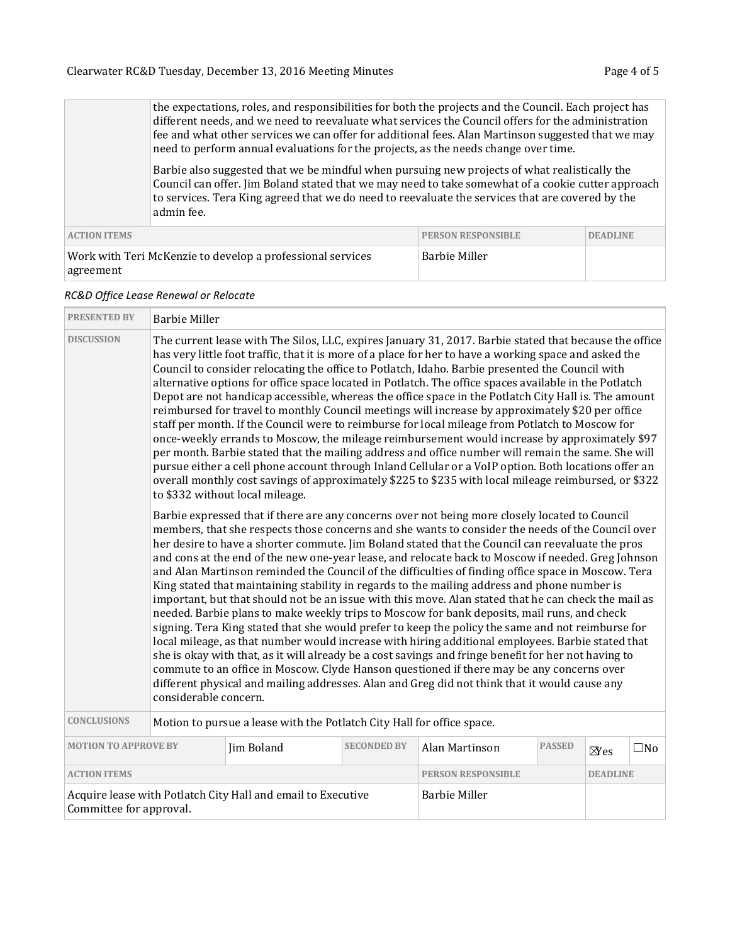the expectations, roles, and responsibilities for both the projects and the Council. Each project has different needs, and we need to reevaluate what services the Council offers for the administration fee and what other services we can offer for additional fees. Alan Martinson suggested that we may need to perform annual evaluations for the projects, as the needs change over time.

Barbie also suggested that we be mindful when pursuing new projects of what realistically the Council can offer. Jim Boland stated that we may need to take somewhat of a cookie cutter approach to services. Tera King agreed that we do need to reevaluate the services that are covered by the admin fee.

| <b>ACTION ITEMS</b>                                                     | <b>PERSON RESPONSIBLE</b> | <b>DEADLINE</b> |
|-------------------------------------------------------------------------|---------------------------|-----------------|
| Work with Teri McKenzie to develop a professional services<br>agreement | Barbie Miller             |                 |

#### *RC&D Office Lease Renewal or Relocate*

| <b>PRESENTED BY</b>                                                                     | <b>Barbie Miller</b>                                                                                                                                                                                                                                                                                                                                                                                                                                                                                                                                                                                                                                                                                                                                                                                                                                                                                                                                                                                                                                                                                                                                                                                                                                                                                                                                                 |                      |                    |                           |               |                 |              |
|-----------------------------------------------------------------------------------------|----------------------------------------------------------------------------------------------------------------------------------------------------------------------------------------------------------------------------------------------------------------------------------------------------------------------------------------------------------------------------------------------------------------------------------------------------------------------------------------------------------------------------------------------------------------------------------------------------------------------------------------------------------------------------------------------------------------------------------------------------------------------------------------------------------------------------------------------------------------------------------------------------------------------------------------------------------------------------------------------------------------------------------------------------------------------------------------------------------------------------------------------------------------------------------------------------------------------------------------------------------------------------------------------------------------------------------------------------------------------|----------------------|--------------------|---------------------------|---------------|-----------------|--------------|
| <b>DISCUSSION</b>                                                                       | The current lease with The Silos, LLC, expires January 31, 2017. Barbie stated that because the office<br>has very little foot traffic, that it is more of a place for her to have a working space and asked the<br>Council to consider relocating the office to Potlatch, Idaho. Barbie presented the Council with<br>alternative options for office space located in Potlatch. The office spaces available in the Potlatch<br>Depot are not handicap accessible, whereas the office space in the Potlatch City Hall is. The amount<br>reimbursed for travel to monthly Council meetings will increase by approximately \$20 per office<br>staff per month. If the Council were to reimburse for local mileage from Potlatch to Moscow for<br>once-weekly errands to Moscow, the mileage reimbursement would increase by approximately \$97<br>per month. Barbie stated that the mailing address and office number will remain the same. She will<br>pursue either a cell phone account through Inland Cellular or a VoIP option. Both locations offer an<br>overall monthly cost savings of approximately \$225 to \$235 with local mileage reimbursed, or \$322<br>to \$332 without local mileage.                                                                                                                                                                |                      |                    |                           |               |                 |              |
|                                                                                         | Barbie expressed that if there are any concerns over not being more closely located to Council<br>members, that she respects those concerns and she wants to consider the needs of the Council over<br>her desire to have a shorter commute. Jim Boland stated that the Council can reevaluate the pros<br>and cons at the end of the new one-year lease, and relocate back to Moscow if needed. Greg Johnson<br>and Alan Martinson reminded the Council of the difficulties of finding office space in Moscow. Tera<br>King stated that maintaining stability in regards to the mailing address and phone number is<br>important, but that should not be an issue with this move. Alan stated that he can check the mail as<br>needed. Barbie plans to make weekly trips to Moscow for bank deposits, mail runs, and check<br>signing. Tera King stated that she would prefer to keep the policy the same and not reimburse for<br>local mileage, as that number would increase with hiring additional employees. Barbie stated that<br>she is okay with that, as it will already be a cost savings and fringe benefit for her not having to<br>commute to an office in Moscow. Clyde Hanson questioned if there may be any concerns over<br>different physical and mailing addresses. Alan and Greg did not think that it would cause any<br>considerable concern. |                      |                    |                           |               |                 |              |
| <b>CONCLUSIONS</b>                                                                      | Motion to pursue a lease with the Potlatch City Hall for office space.                                                                                                                                                                                                                                                                                                                                                                                                                                                                                                                                                                                                                                                                                                                                                                                                                                                                                                                                                                                                                                                                                                                                                                                                                                                                                               |                      |                    |                           |               |                 |              |
| <b>MOTION TO APPROVE BY</b>                                                             |                                                                                                                                                                                                                                                                                                                                                                                                                                                                                                                                                                                                                                                                                                                                                                                                                                                                                                                                                                                                                                                                                                                                                                                                                                                                                                                                                                      | Jim Boland           | <b>SECONDED BY</b> | Alan Martinson            | <b>PASSED</b> | $\boxtimes$ es  | $\square$ No |
| <b>ACTION ITEMS</b>                                                                     |                                                                                                                                                                                                                                                                                                                                                                                                                                                                                                                                                                                                                                                                                                                                                                                                                                                                                                                                                                                                                                                                                                                                                                                                                                                                                                                                                                      |                      |                    | <b>PERSON RESPONSIBLE</b> |               | <b>DEADLINE</b> |              |
| Acquire lease with Potlatch City Hall and email to Executive<br>Committee for approval. |                                                                                                                                                                                                                                                                                                                                                                                                                                                                                                                                                                                                                                                                                                                                                                                                                                                                                                                                                                                                                                                                                                                                                                                                                                                                                                                                                                      | <b>Barbie Miller</b> |                    |                           |               |                 |              |